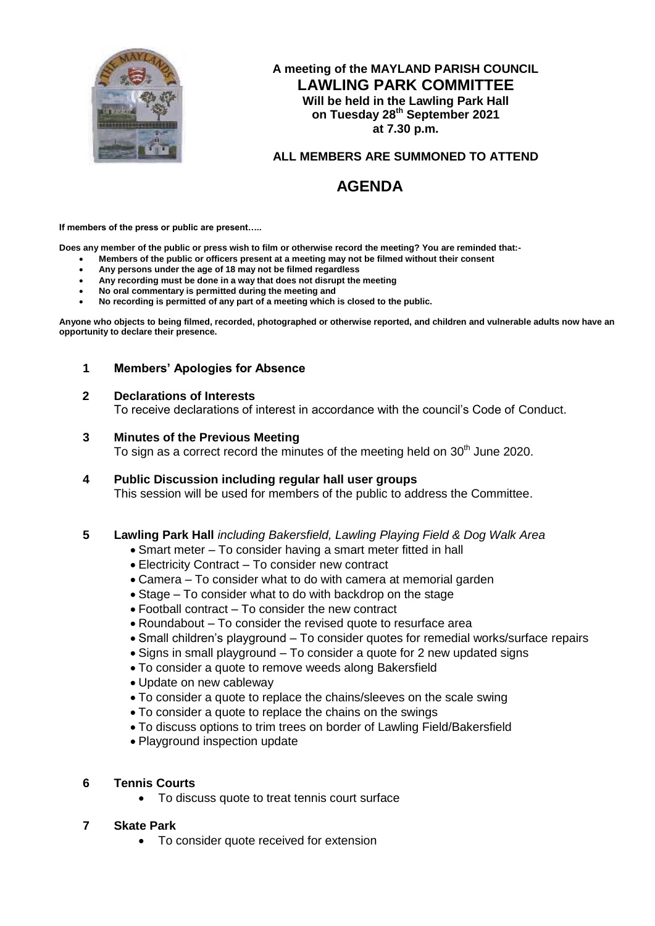

# **A meeting of the MAYLAND PARISH COUNCIL LAWLING PARK COMMITTEE Will be held in the Lawling Park Hall on Tuesday 28th September 2021 at 7.30 p.m.**

# **ALL MEMBERS ARE SUMMONED TO ATTEND**

# **AGENDA**

**If members of the press or public are present…..**

**Does any member of the public or press wish to film or otherwise record the meeting? You are reminded that:-**

- **Members of the public or officers present at a meeting may not be filmed without their consent**
- **Any persons under the age of 18 may not be filmed regardless**
- **Any recording must be done in a way that does not disrupt the meeting**
- **No oral commentary is permitted during the meeting and**
- **No recording is permitted of any part of a meeting which is closed to the public.**

**Anyone who objects to being filmed, recorded, photographed or otherwise reported, and children and vulnerable adults now have an opportunity to declare their presence.**

#### **1 Members' Apologies for Absence**

#### **2 Declarations of Interests**

To receive declarations of interest in accordance with the council's Code of Conduct.

#### **3 Minutes of the Previous Meeting**

To sign as a correct record the minutes of the meeting held on  $30<sup>th</sup>$  June 2020.

**4 Public Discussion including regular hall user groups** This session will be used for members of the public to address the Committee.

#### **5 Lawling Park Hall** *including Bakersfield, Lawling Playing Field & Dog Walk Area*

- Smart meter To consider having a smart meter fitted in hall
- Electricity Contract To consider new contract
- Camera To consider what to do with camera at memorial garden
- Stage To consider what to do with backdrop on the stage
- Football contract To consider the new contract
- Roundabout To consider the revised quote to resurface area
- Small children's playground To consider quotes for remedial works/surface repairs
- Signs in small playground To consider a quote for 2 new updated signs
- To consider a quote to remove weeds along Bakersfield
- Update on new cableway
- To consider a quote to replace the chains/sleeves on the scale swing
- To consider a quote to replace the chains on the swings
- To discuss options to trim trees on border of Lawling Field/Bakersfield
- Playground inspection update

#### **6 Tennis Courts**

• To discuss quote to treat tennis court surface

#### **7 Skate Park**

To consider quote received for extension